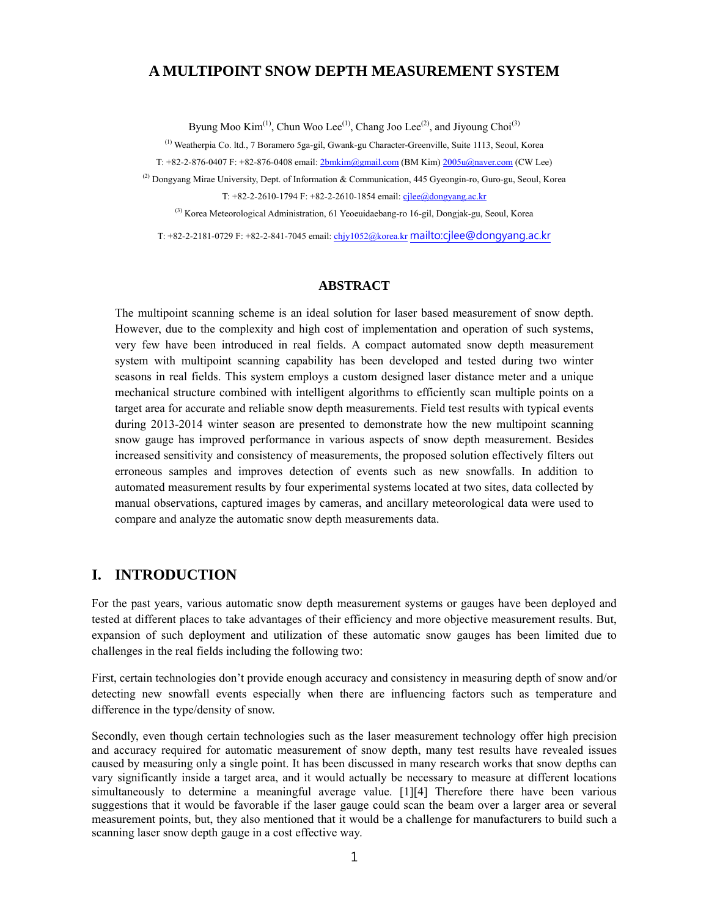## **A MULTIPOINT SNOW DEPTH MEASUREMENT SYSTEM**

Byung Moo Kim<sup>(1)</sup>, Chun Woo Lee<sup>(1)</sup>, Chang Joo Lee<sup>(2)</sup>, and Jiyoung Choi<sup>(3)</sup>

(1) Weatherpia Co. ltd., 7 Boramero 5ga-gil, Gwank-gu Character-Greenville, Suite 1113, Seoul, Korea

T:  $+82-2-876-0407$  F:  $+82-876-0408$  email:  $2bmkim(\partial gmail.com)$  (BM Kim)  $2005u(\partial naver.com)$  (CW Lee)

(2) Dongyang Mirae University, Dept. of Information & Communication, 445 Gyeongin-ro, Guro-gu, Seoul, Korea T:  $+82-2-2610-1794$  F:  $+82-2-2610-1854$  email: cjlee@dongyang.ac.kr

(3) Korea Meteorological Administration, 61 Yeoeuidaebang-ro 16-gil, Dongjak-gu, Seoul, Korea

T: +82-2-2181-0729 F: +82-2-841-7045 email: chjy1052@korea.kr mailto:cjlee@dongyang.ac.kr

## **ABSTRACT**

The multipoint scanning scheme is an ideal solution for laser based measurement of snow depth. However, due to the complexity and high cost of implementation and operation of such systems, very few have been introduced in real fields. A compact automated snow depth measurement system with multipoint scanning capability has been developed and tested during two winter seasons in real fields. This system employs a custom designed laser distance meter and a unique mechanical structure combined with intelligent algorithms to efficiently scan multiple points on a target area for accurate and reliable snow depth measurements. Field test results with typical events during 2013-2014 winter season are presented to demonstrate how the new multipoint scanning snow gauge has improved performance in various aspects of snow depth measurement. Besides increased sensitivity and consistency of measurements, the proposed solution effectively filters out erroneous samples and improves detection of events such as new snowfalls. In addition to automated measurement results by four experimental systems located at two sites, data collected by manual observations, captured images by cameras, and ancillary meteorological data were used to compare and analyze the automatic snow depth measurements data.

# **I. INTRODUCTION**

For the past years, various automatic snow depth measurement systems or gauges have been deployed and tested at different places to take advantages of their efficiency and more objective measurement results. But, expansion of such deployment and utilization of these automatic snow gauges has been limited due to challenges in the real fields including the following two:

First, certain technologies don't provide enough accuracy and consistency in measuring depth of snow and/or detecting new snowfall events especially when there are influencing factors such as temperature and difference in the type/density of snow.

Secondly, even though certain technologies such as the laser measurement technology offer high precision and accuracy required for automatic measurement of snow depth, many test results have revealed issues caused by measuring only a single point. It has been discussed in many research works that snow depths can vary significantly inside a target area, and it would actually be necessary to measure at different locations simultaneously to determine a meaningful average value. [1][4] Therefore there have been various suggestions that it would be favorable if the laser gauge could scan the beam over a larger area or several measurement points, but, they also mentioned that it would be a challenge for manufacturers to build such a scanning laser snow depth gauge in a cost effective way.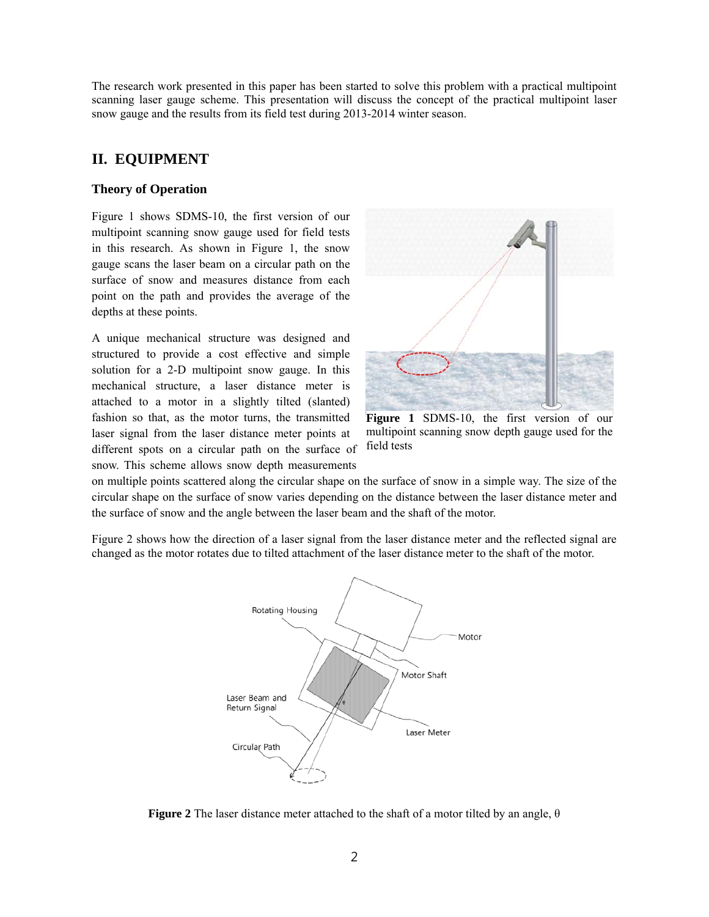The research work presented in this paper has been started to solve this problem with a practical multipoint scanning laser gauge scheme. This presentation will discuss the concept of the practical multipoint laser snow gauge and the results from its field test during 2013-2014 winter season.

# **II. EQUIPMENT**

### **Theory of Operation**

Figure 1 shows SDMS-10, the first version of our multipoint scanning snow gauge used for field tests in this research. As shown in Figure 1, the snow gauge scans the laser beam on a circular path on the surface of snow and measures distance from each point on the path and provides the average of the depths at these points.

A unique mechanical structure was designed and structured to provide a cost effective and simple solution for a 2-D multipoint snow gauge. In this mechanical structure, a laser distance meter is attached to a motor in a slightly tilted (slanted) fashion so that, as the motor turns, the transmitted laser signal from the laser distance meter points at different spots on a circular path on the surface of snow. This scheme allows snow depth measurements



**Figure 1** SDMS-10, the first version of our multipoint scanning snow depth gauge used for the field tests

on multiple points scattered along the circular shape on the surface of snow in a simple way. The size of the circular shape on the surface of snow varies depending on the distance between the laser distance meter and the surface of snow and the angle between the laser beam and the shaft of the motor.

Figure 2 shows how the direction of a laser signal from the laser distance meter and the reflected signal are changed as the motor rotates due to tilted attachment of the laser distance meter to the shaft of the motor.



**Figure 2** The laser distance meter attached to the shaft of a motor tilted by an angle, θ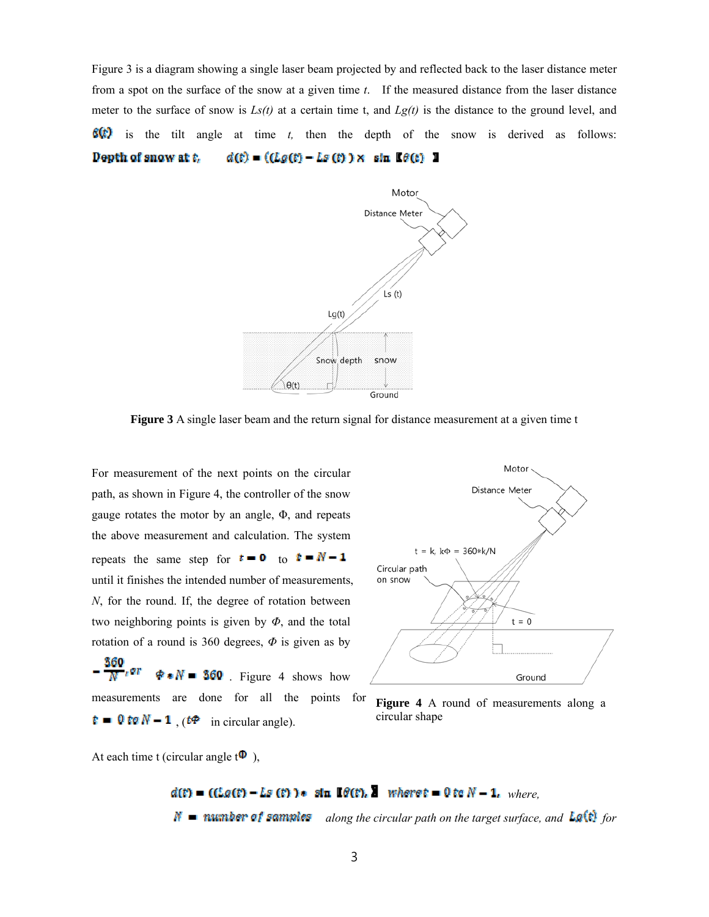Figure 3 is a diagram showing a single laser beam projected by and reflected back to the laser distance meter from a spot on the surface of the snow at a given time *t*. If the measured distance from the laser distance meter to the surface of snow is  $Ls(t)$  at a certain time t, and  $Lg(t)$  is the distance to the ground level, and  $f(x)$  is the tilt angle at time *t*, then the depth of the snow is derived as follows: Depth of snow at t.  $d(t) = ((Lg(t) - Lg(t)) \times \sin \theta(t))$  1



**Figure 3** A single laser beam and the return signal for distance measurement at a given time t

For measurement of the next points on the circular path, as shown in Figure 4, the controller of the snow gauge rotates the motor by an angle, Φ, and repeats the above measurement and calculation. The system repeats the same step for  $t = 0$  to  $t = N - 1$ until it finishes the intended number of measurements, *N*, for the round. If, the degree of rotation between two neighboring points is given by *Φ*, and the total rotation of a round is 360 degrees, *Φ* is given as by

 $\frac{360}{N}$ er  $\oint \bullet N = 360$ . Figure 4 shows how measurements are done for all the points for  $\mathbf{r} = \mathbf{0}$  to  $N - 1$ , ( $t \Phi$  in circular angle).



**Figure 4** A round of measurements along a circular shape

At each time t (circular angle  $t^{\mathbf{0}}$ ),

 $d(t) = ((Lg(t) - Lg(t)) \cdot \sin \theta(t), \sin \theta(t))$  where  $t = 0$  to  $N - 1$ , where,  $\mathcal{N}$  **along the mumber of samples** along the circular path on the target surface, and Lg(t) for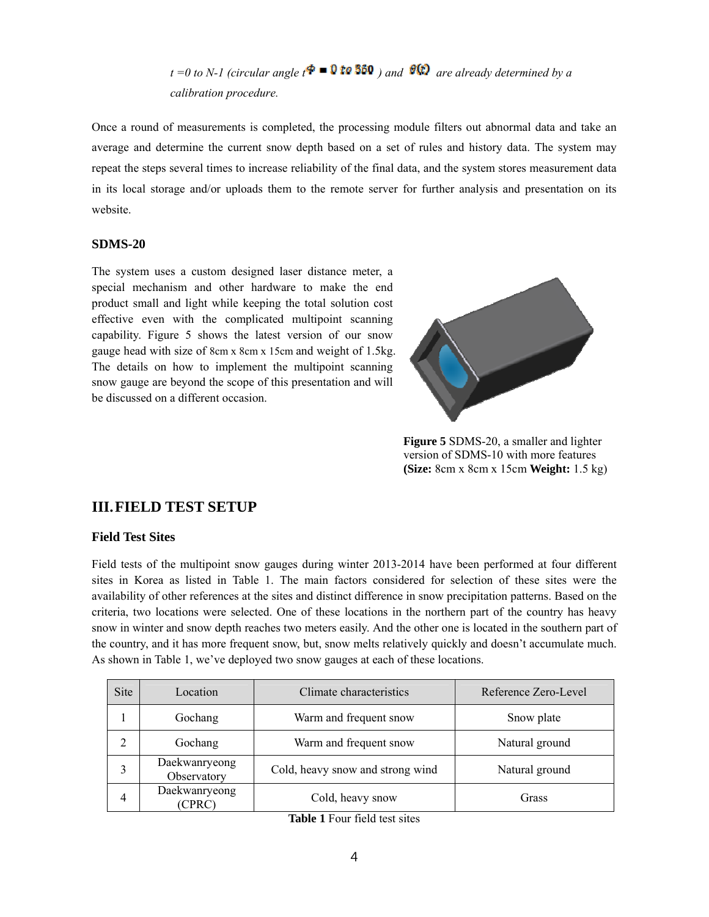*t* =0 *to N-1 (circular angle*  $t^* = 0$  *to 350 ) and*  $\theta$  $\Omega$  *are already determined by a calibration procedure.* 

Once a round of measurements is completed, the processing module filters out abnormal data and take an average and determine the current snow depth based on a set of rules and history data. The system may repeat the steps several times to increase reliability of the final data, and the system stores measurement data in its local storage and/or uploads them to the remote server for further analysis and presentation on its website.

#### **SDMS-20**

The system uses a custom designed laser distance meter, a special mechanism and other hardware to make the end product small and light while keeping the total solution cost effective even with the complicated multipoint scanning capability. Figure 5 shows the latest version of our snow gauge head with size of 8cm x 8cm x 15cm and weight of 1.5kg. The details on how to implement the multipoint scanning snow gauge are beyond the scope of this presentation and will be discussed on a different occasion.



**Figure 5** SDMS-20, a smaller and lighter version of SDMS-10 with more features **(Size:** 8cm x 8cm x 15cm **Weight:** 1.5 kg)

## **III.FIELD TEST SETUP**

## **Field Test Sites**

Field tests of the multipoint snow gauges during winter 2013-2014 have been performed at four different sites in Korea as listed in Table 1. The main factors considered for selection of these sites were the availability of other references at the sites and distinct difference in snow precipitation patterns. Based on the criteria, two locations were selected. One of these locations in the northern part of the country has heavy snow in winter and snow depth reaches two meters easily. And the other one is located in the southern part of the country, and it has more frequent snow, but, snow melts relatively quickly and doesn't accumulate much. As shown in Table 1, we've deployed two snow gauges at each of these locations.

| Site | Location                     | Climate characteristics          | Reference Zero-Level |
|------|------------------------------|----------------------------------|----------------------|
|      | Gochang                      | Warm and frequent snow           | Snow plate           |
| 2    | Gochang                      | Warm and frequent snow           | Natural ground       |
|      | Daekwanryeong<br>Observatory | Cold, heavy snow and strong wind | Natural ground       |
| 4    | Daekwanryeong<br>(CPRC)      | Cold, heavy snow                 | Grass                |

**Table 1** Four field test sites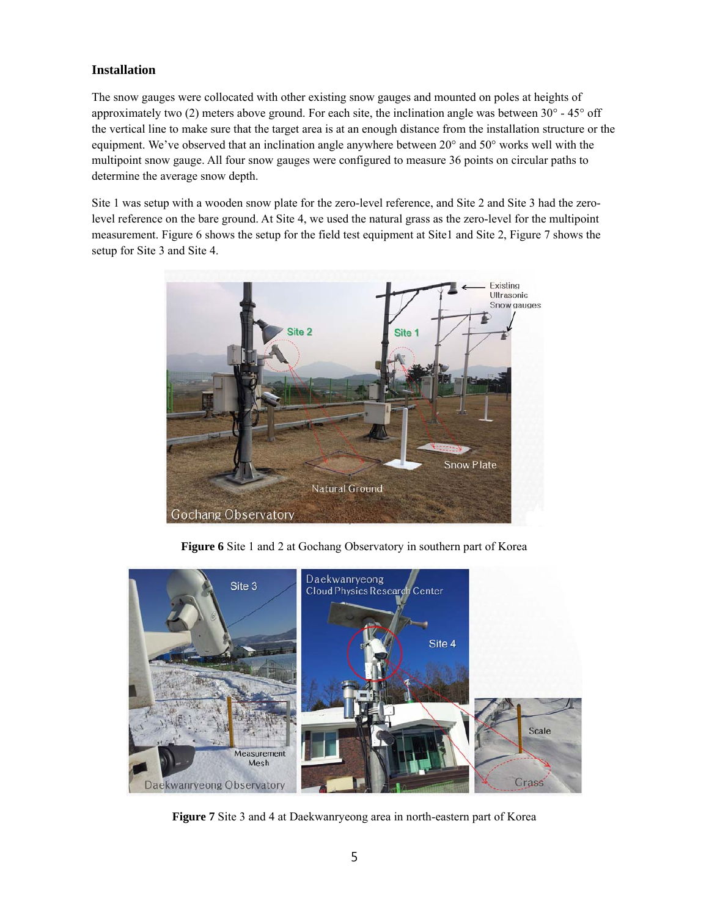# **Installation**

The snow gauges were collocated with other existing snow gauges and mounted on poles at heights of approximately two (2) meters above ground. For each site, the inclination angle was between  $30^{\circ}$  - 45° off the vertical line to make sure that the target area is at an enough distance from the installation structure or the equipment. We've observed that an inclination angle anywhere between 20° and 50° works well with the multipoint snow gauge. All four snow gauges were configured to measure 36 points on circular paths to determine the average snow depth.

Site 1 was setup with a wooden snow plate for the zero-level reference, and Site 2 and Site 3 had the zerolevel reference on the bare ground. At Site 4, we used the natural grass as the zero-level for the multipoint measurement. Figure 6 shows the setup for the field test equipment at Site1 and Site 2, Figure 7 shows the setup for Site 3 and Site 4.



**Figure 6** Site 1 and 2 at Gochang Observatory in southern part of Korea



**Figure 7** Site 3 and 4 at Daekwanryeong area in north-eastern part of Korea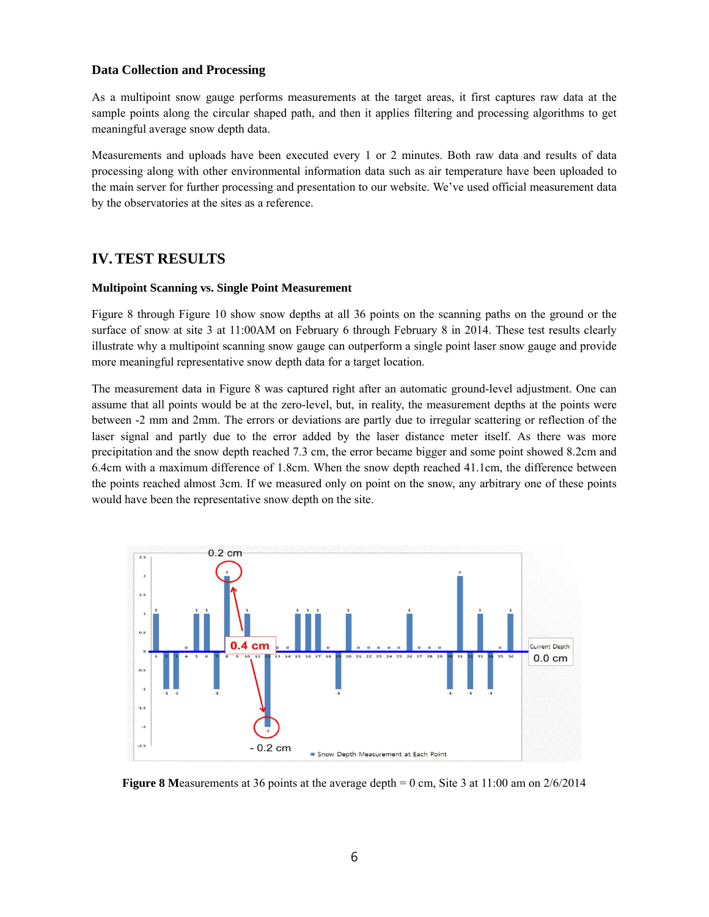### **Data Collection and Processing**

As a multipoint snow gauge performs measurements at the target areas, it first captures raw data at the sample points along the circular shaped path, and then it applies filtering and processing algorithms to get meaningful average snow depth data.

Measurements and uploads have been executed every 1 or 2 minutes. Both raw data and results of data processing along with other environmental information data such as air temperature have been uploaded to the main server for further processing and presentation to our website. We've used official measurement data by the observatories at the sites as a reference.

# **IV.TEST RESULTS**

#### **Multipoint Scanning vs. Single Point Measurement**

Figure 8 through Figure 10 show snow depths at all 36 points on the scanning paths on the ground or the surface of snow at site 3 at 11:00AM on February 6 through February 8 in 2014. These test results clearly illustrate why a multipoint scanning snow gauge can outperform a single point laser snow gauge and provide more meaningful representative snow depth data for a target location.

The measurement data in Figure 8 was captured right after an automatic ground-level adjustment. One can assume that all points would be at the zero-level, but, in reality, the measurement depths at the points were between -2 mm and 2mm. The errors or deviations are partly due to irregular scattering or reflection of the laser signal and partly due to the error added by the laser distance meter itself. As there was more precipitation and the snow depth reached 7.3 cm, the error became bigger and some point showed 8.2cm and 6.4cm with a maximum difference of 1.8cm. When the snow depth reached 41.1cm, the difference between the points reached almost 3cm. If we measured only on point on the snow, any arbitrary one of these points would have been the representative snow depth on the site.



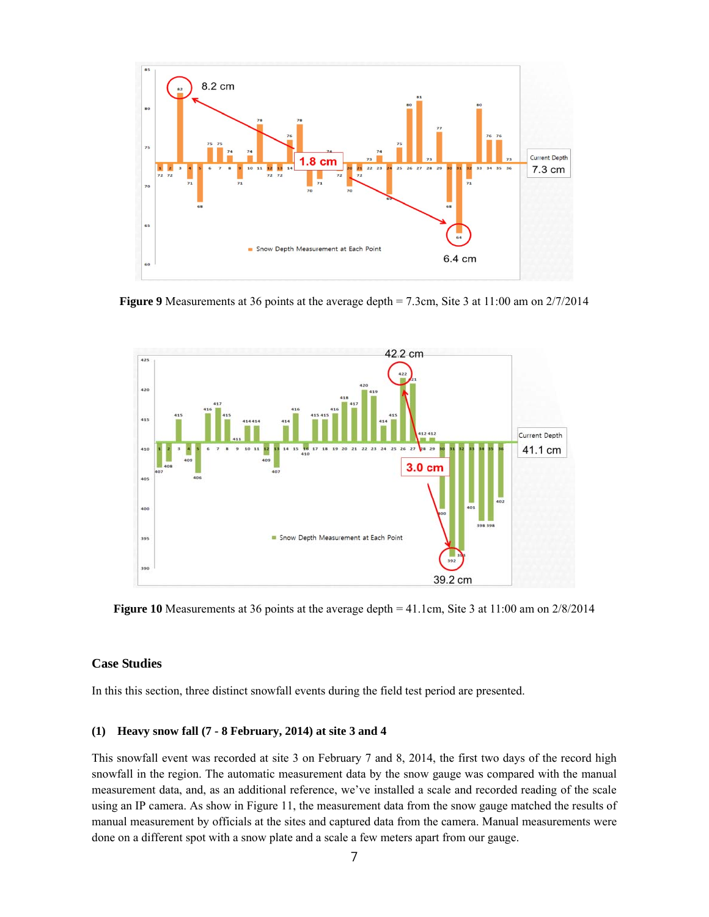

**Figure 9** Measurements at 36 points at the average depth = 7.3cm, Site 3 at 11:00 am on 2/7/2014



**Figure 10** Measurements at 36 points at the average depth = 41.1cm, Site 3 at 11:00 am on 2/8/2014

## **Case Studies**

In this this section, three distinct snowfall events during the field test period are presented.

## **(1) Heavy snow fall (7 - 8 February, 2014) at site 3 and 4**

This snowfall event was recorded at site 3 on February 7 and 8, 2014, the first two days of the record high snowfall in the region. The automatic measurement data by the snow gauge was compared with the manual measurement data, and, as an additional reference, we've installed a scale and recorded reading of the scale using an IP camera. As show in Figure 11, the measurement data from the snow gauge matched the results of manual measurement by officials at the sites and captured data from the camera. Manual measurements were done on a different spot with a snow plate and a scale a few meters apart from our gauge.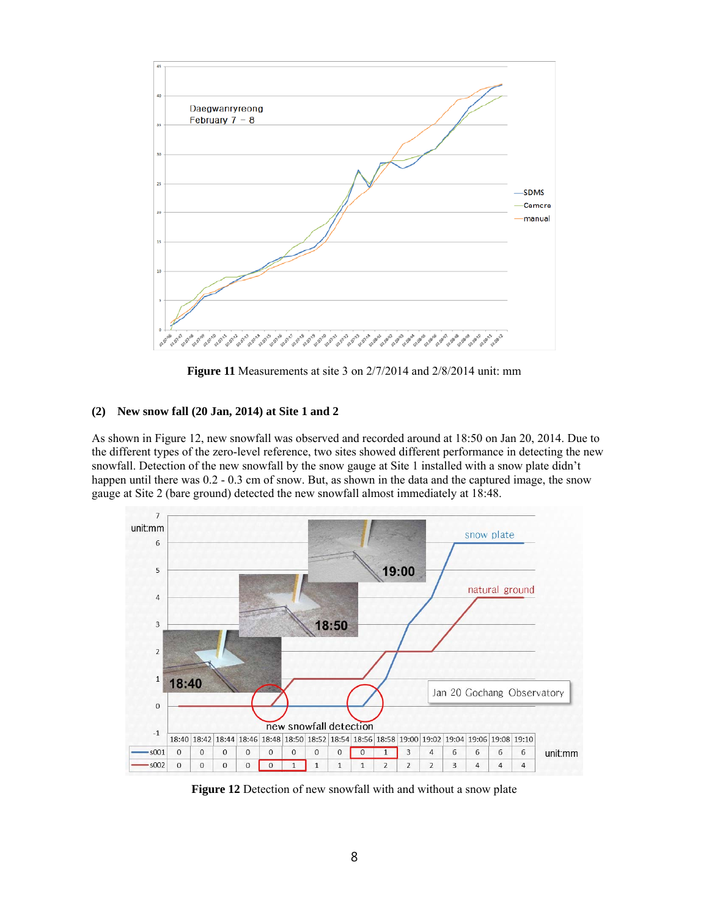

**Figure 11** Measurements at site 3 on 2/7/2014 and 2/8/2014 unit: mm

#### **(2) New snow fall (20 Jan, 2014) at Site 1 and 2**

As shown in Figure 12, new snowfall was observed and recorded around at 18:50 on Jan 20, 2014. Due to the different types of the zero-level reference, two sites showed different performance in detecting the new snowfall. Detection of the new snowfall by the snow gauge at Site 1 installed with a snow plate didn't happen until there was  $0.2 - 0.3$  cm of snow. But, as shown in the data and the captured image, the snow gauge at Site 2 (bare ground) detected the new snowfall almost immediately at 18:48.



**Figure 12** Detection of new snowfall with and without a snow plate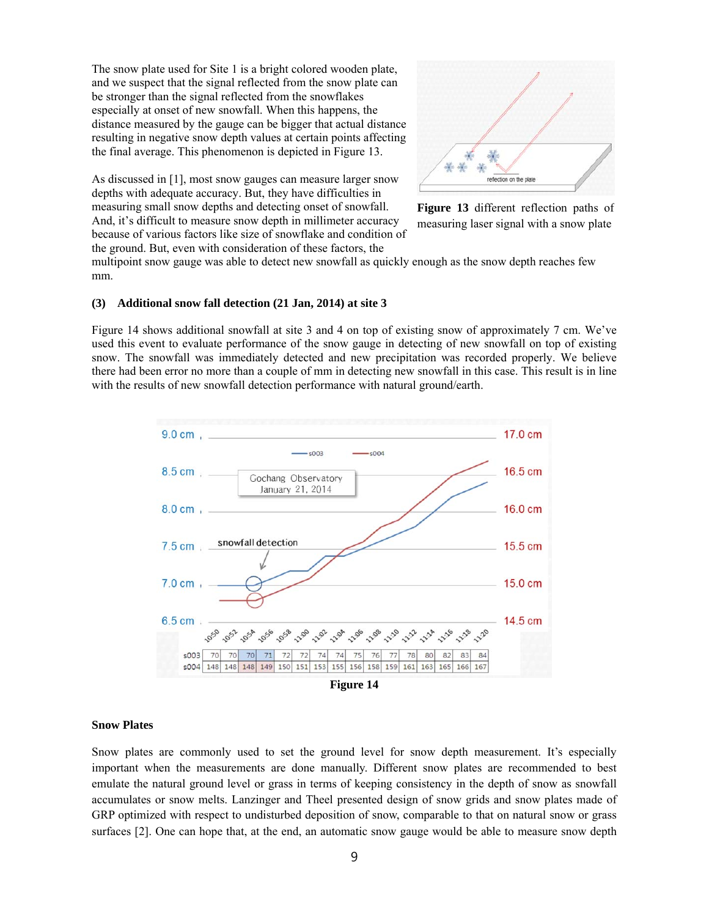The snow plate used for Site 1 is a bright colored wooden plate, and we suspect that the signal reflected from the snow plate can be stronger than the signal reflected from the snowflakes especially at onset of new snowfall. When this happens, the distance measured by the gauge can be bigger that actual distance resulting in negative snow depth values at certain points affecting the final average. This phenomenon is depicted in Figure 13.

As discussed in [1], most snow gauges can measure larger snow depths with adequate accuracy. But, they have difficulties in measuring small snow depths and detecting onset of snowfall. And, it's difficult to measure snow depth in millimeter accuracy because of various factors like size of snowflake and condition of the ground. But, even with consideration of these factors, the



**Figure 13** different reflection paths of measuring laser signal with a snow plate

multipoint snow gauge was able to detect new snowfall as quickly enough as the snow depth reaches few mm.

#### **(3) Additional snow fall detection (21 Jan, 2014) at site 3**

Figure 14 shows additional snowfall at site 3 and 4 on top of existing snow of approximately 7 cm. We've used this event to evaluate performance of the snow gauge in detecting of new snowfall on top of existing snow. The snowfall was immediately detected and new precipitation was recorded properly. We believe there had been error no more than a couple of mm in detecting new snowfall in this case. This result is in line with the results of new snowfall detection performance with natural ground/earth.



#### **Snow Plates**

Snow plates are commonly used to set the ground level for snow depth measurement. It's especially important when the measurements are done manually. Different snow plates are recommended to best emulate the natural ground level or grass in terms of keeping consistency in the depth of snow as snowfall accumulates or snow melts. Lanzinger and Theel presented design of snow grids and snow plates made of GRP optimized with respect to undisturbed deposition of snow, comparable to that on natural snow or grass surfaces [2]. One can hope that, at the end, an automatic snow gauge would be able to measure snow depth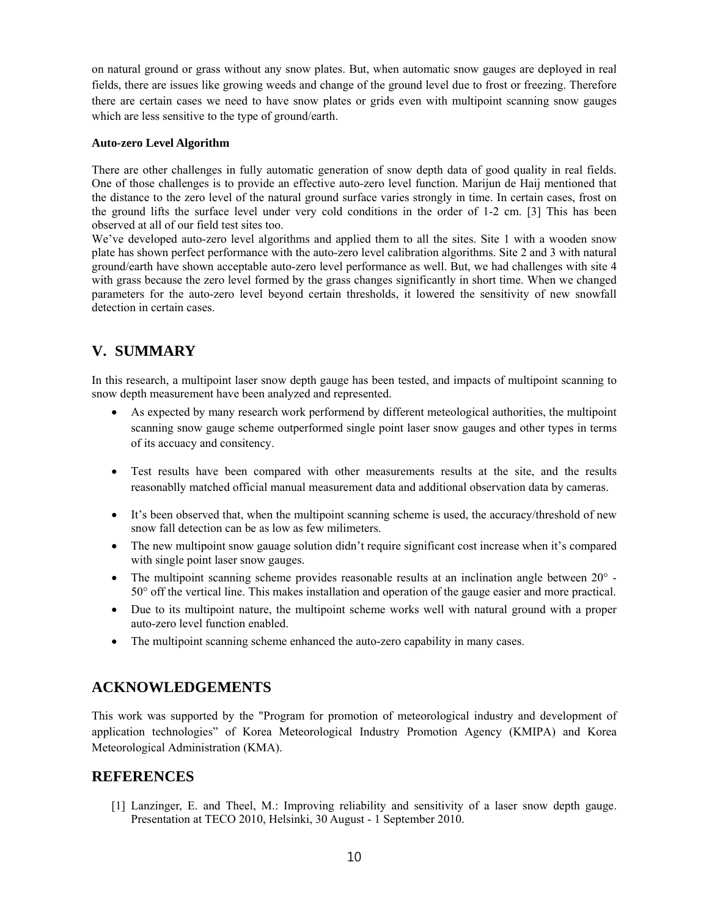on natural ground or grass without any snow plates. But, when automatic snow gauges are deployed in real fields, there are issues like growing weeds and change of the ground level due to frost or freezing. Therefore there are certain cases we need to have snow plates or grids even with multipoint scanning snow gauges which are less sensitive to the type of ground/earth.

## **Auto-zero Level Algorithm**

There are other challenges in fully automatic generation of snow depth data of good quality in real fields. One of those challenges is to provide an effective auto-zero level function. Marijun de Haij mentioned that the distance to the zero level of the natural ground surface varies strongly in time. In certain cases, frost on the ground lifts the surface level under very cold conditions in the order of 1-2 cm. [3] This has been observed at all of our field test sites too.

We've developed auto-zero level algorithms and applied them to all the sites. Site 1 with a wooden snow plate has shown perfect performance with the auto-zero level calibration algorithms. Site 2 and 3 with natural ground/earth have shown acceptable auto-zero level performance as well. But, we had challenges with site 4 with grass because the zero level formed by the grass changes significantly in short time. When we changed parameters for the auto-zero level beyond certain thresholds, it lowered the sensitivity of new snowfall detection in certain cases.

# **V. SUMMARY**

In this research, a multipoint laser snow depth gauge has been tested, and impacts of multipoint scanning to snow depth measurement have been analyzed and represented.

- As expected by many research work performend by different meteological authorities, the multipoint scanning snow gauge scheme outperformed single point laser snow gauges and other types in terms of its accuacy and consitency.
- Test results have been compared with other measurements results at the site, and the results reasonablly matched official manual measurement data and additional observation data by cameras.
- It's been observed that, when the multipoint scanning scheme is used, the accuracy/threshold of new snow fall detection can be as low as few milimeters.
- The new multipoint snow gauage solution didn't require significant cost increase when it's compared with single point laser snow gauges.
- The multipoint scanning scheme provides reasonable results at an inclination angle between 20° 50° off the vertical line. This makes installation and operation of the gauge easier and more practical.
- Due to its multipoint nature, the multipoint scheme works well with natural ground with a proper auto-zero level function enabled.
- The multipoint scanning scheme enhanced the auto-zero capability in many cases.

# **ACKNOWLEDGEMENTS**

This work was supported by the "Program for promotion of meteorological industry and development of application technologies" of Korea Meteorological Industry Promotion Agency (KMIPA) and Korea Meteorological Administration (KMA).

# **REFERENCES**

[1] Lanzinger, E. and Theel, M.: Improving reliability and sensitivity of a laser snow depth gauge. Presentation at TECO 2010, Helsinki, 30 August - 1 September 2010.